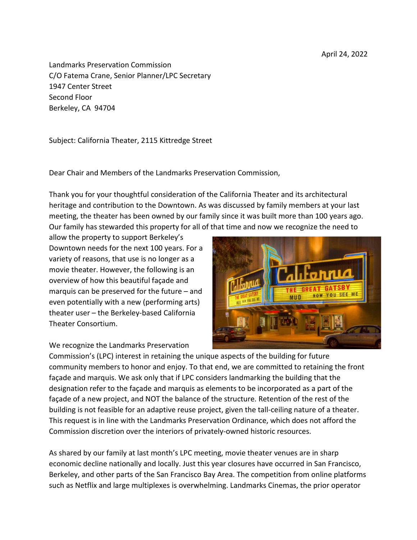April 24, 2022

Landmarks Preservation Commission C/O Fatema Crane, Senior Planner/LPC Secretary 1947 Center Street Second Floor Berkeley, CA 94704

Subject: California Theater, 2115 Kittredge Street

Dear Chair and Members of the Landmarks Preservation Commission,

Thank you for your thoughtful consideration of the California Theater and its architectural heritage and contribution to the Downtown. As was discussed by family members at your last meeting, the theater has been owned by our family since it was built more than 100 years ago. Our family has stewarded this property for all of that time and now we recognize the need to

allow the property to support Berkeley's Downtown needs for the next 100 years. For a variety of reasons, that use is no longer as a movie theater. However, the following is an overview of how this beautiful façade and marquis can be preserved for the future – and even potentially with a new (performing arts) theater user – the Berkeley-based California Theater Consortium.

We recognize the Landmarks Preservation



Commission's (LPC) interest in retaining the unique aspects of the building for future community members to honor and enjoy. To that end, we are committed to retaining the front façade and marquis. We ask only that if LPC considers landmarking the building that the designation refer to the façade and marquis as elements to be incorporated as a part of the façade of a new project, and NOT the balance of the structure. Retention of the rest of the building is not feasible for an adaptive reuse project, given the tall-ceiling nature of a theater. This request is in line with the Landmarks Preservation Ordinance, which does not afford the Commission discretion over the interiors of privately-owned historic resources.

As shared by our family at last month's LPC meeting, movie theater venues are in sharp economic decline nationally and locally. Just this year closures have occurred in San Francisco, Berkeley, and other parts of the San Francisco Bay Area. The competition from online platforms such as Netflix and large multiplexes is overwhelming. Landmarks Cinemas, the prior operator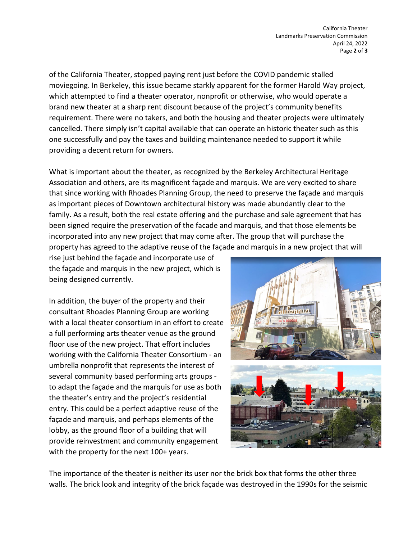of the California Theater, stopped paying rent just before the COVID pandemic stalled moviegoing. In Berkeley, this issue became starkly apparent for the former Harold Way project, which attempted to find a theater operator, nonprofit or otherwise, who would operate a brand new theater at a sharp rent discount because of the project's community benefits requirement. There were no takers, and both the housing and theater projects were ultimately cancelled. There simply isn't capital available that can operate an historic theater such as this one successfully and pay the taxes and building maintenance needed to support it while providing a decent return for owners.

What is important about the theater, as recognized by the Berkeley Architectural Heritage Association and others, are its magnificent façade and marquis. We are very excited to share that since working with Rhoades Planning Group, the need to preserve the façade and marquis as important pieces of Downtown architectural history was made abundantly clear to the family. As a result, both the real estate offering and the purchase and sale agreement that has been signed require the preservation of the facade and marquis, and that those elements be incorporated into any new project that may come after. The group that will purchase the property has agreed to the adaptive reuse of the façade and marquis in a new project that will

rise just behind the façade and incorporate use of the façade and marquis in the new project, which is being designed currently.

In addition, the buyer of the property and their consultant Rhoades Planning Group are working with a local theater consortium in an effort to create a full performing arts theater venue as the ground floor use of the new project. That effort includes working with the California Theater Consortium - an umbrella nonprofit that represents the interest of several community based performing arts groups to adapt the façade and the marquis for use as both the theater's entry and the project's residential entry. This could be a perfect adaptive reuse of the façade and marquis, and perhaps elements of the lobby, as the ground floor of a building that will provide reinvestment and community engagement with the property for the next 100+ years.



The importance of the theater is neither its user nor the brick box that forms the other three walls. The brick look and integrity of the brick façade was destroyed in the 1990s for the seismic